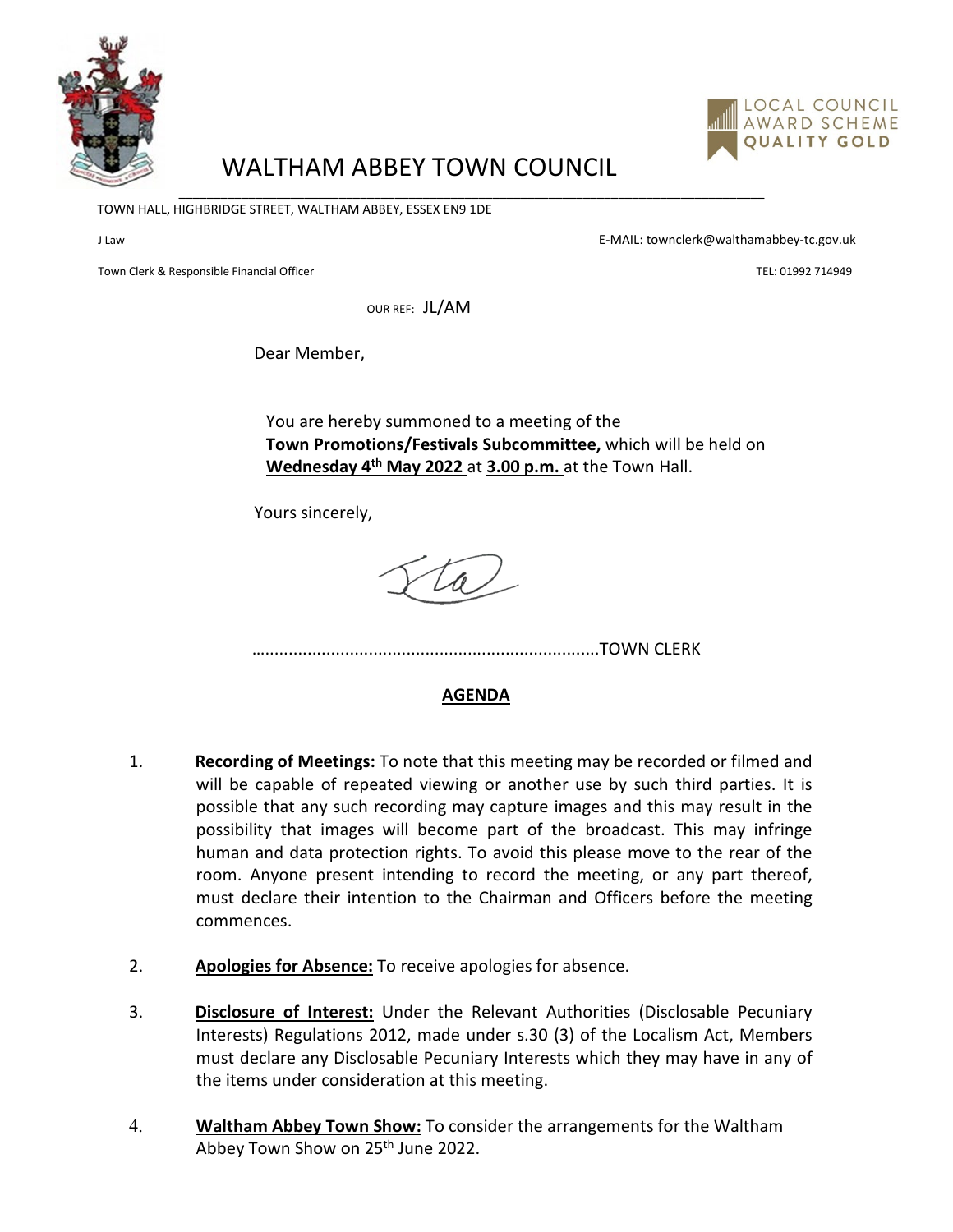



## WALTHAM ABBEY TOWN COUNCIL

\_\_\_\_\_\_\_\_\_\_\_\_\_\_\_\_\_\_\_\_\_\_\_\_\_\_\_\_\_\_\_\_\_\_\_\_\_\_\_\_\_\_\_\_\_\_\_\_\_\_\_\_\_\_\_\_\_\_\_\_\_\_\_\_\_\_\_\_\_\_\_\_\_\_\_\_\_\_\_\_\_\_\_\_

TOWN HALL, HIGHBRIDGE STREET, WALTHAM ABBEY, ESSEX EN9 1DE

J Law E-MAIL: townclerk@walthamabbey-tc.gov.uk

Town Clerk & Responsible Financial Officer Technology and Technology and Technology and Technology and TEL: 01992 714949

OUR REF: JL/AM

Dear Member,

You are hereby summoned to a meeting of the **Town Promotions/Festivals Subcommittee,** which will be held on **Wednesday 4th May 2022** at **3.00 p.m.** at the Town Hall.

Yours sincerely,

 $\overline{\mathscr{A}}$ 

….......................................................................TOWN CLERK

## **AGENDA**

- 1. **Recording of Meetings:** To note that this meeting may be recorded or filmed and will be capable of repeated viewing or another use by such third parties. It is possible that any such recording may capture images and this may result in the possibility that images will become part of the broadcast. This may infringe human and data protection rights. To avoid this please move to the rear of the room. Anyone present intending to record the meeting, or any part thereof, must declare their intention to the Chairman and Officers before the meeting commences.
- 2. **Apologies for Absence:** To receive apologies for absence.
- 3. **Disclosure of Interest:** Under the Relevant Authorities (Disclosable Pecuniary Interests) Regulations 2012, made under s.30 (3) of the Localism Act, Members must declare any Disclosable Pecuniary Interests which they may have in any of the items under consideration at this meeting.
- 4. **Waltham Abbey Town Show:** To consider the arrangements for the Waltham Abbey Town Show on 25<sup>th</sup> June 2022.